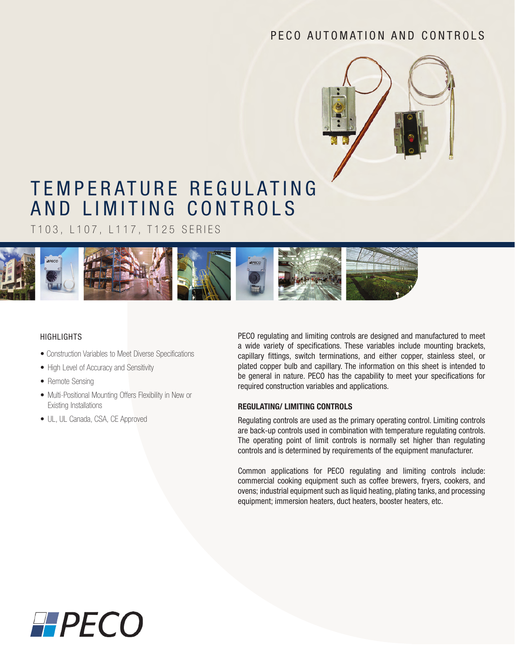# PECO AUTOMATION AND CONTROLS



# TEMPERATURE REGULATING AND LIMITING CONTROLS

T103, L107, L117, T125 SERIES



### HIGHLIGHTS

- Construction Variables to Meet Diverse Specifications
- High Level of Accuracy and Sensitivity
- Remote Sensing
- Multi-Positional Mounting Offers Flexibility in New or Existing Installations
- UL, UL Canada, CSA, CE Approved

PECO regulating and limiting controls are designed and manufactured to meet a wide variety of specifications. These variables include mounting brackets, capillary fittings, switch terminations, and either copper, stainless steel, or plated copper bulb and capillary. The information on this sheet is intended to be general in nature. PECO has the capability to meet your specifications for required construction variables and applications.

#### **REGULATING/ LIMITING CONTROLS**

Regulating controls are used as the primary operating control. Limiting controls are back-up controls used in combination with temperature regulating controls. The operating point of limit controls is normally set higher than regulating controls and is determined by requirements of the equipment manufacturer.

Common applications for PECO regulating and limiting controls include: commercial cooking equipment such as coffee brewers, fryers, cookers, and ovens; industrial equipment such as liquid heating, plating tanks, and processing equipment; immersion heaters, duct heaters, booster heaters, etc.

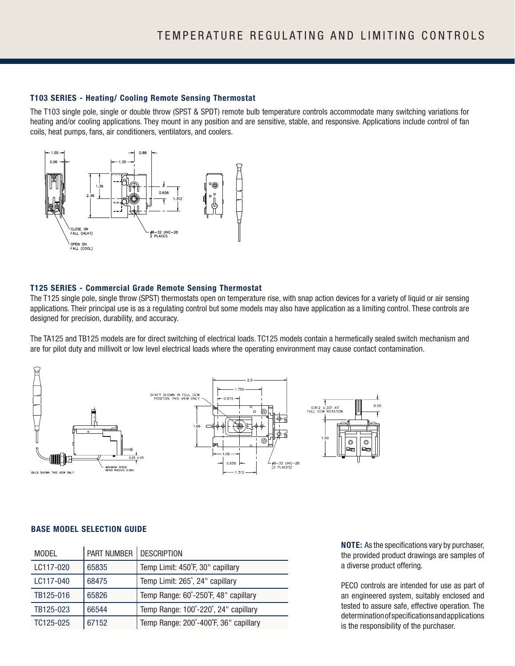#### **T103 SERIES - Heating/ Cooling Remote Sensing Thermostat**

The T103 single pole, single or double throw (SPST & SPDT) remote bulb temperature controls accommodate many switching variations for heating and/or cooling applications. They mount in any position and are sensitive, stable, and responsive. Applications include control of fan coils, heat pumps, fans, air conditioners, ventilators, and coolers.



#### **T125 SERIES - Commercial Grade Remote Sensing Thermostat**

The T125 single pole, single throw (SPST) thermostats open on temperature rise, with snap action devices for a variety of liquid or air sensing applications. Their principal use is as a regulating control but some models may also have application as a limiting control. These controls are designed for precision, durability, and accuracy.

The TA125 and TB125 models are for direct switching of electrical loads. TC125 models contain a hermetically sealed switch mechanism and are for pilot duty and millivolt or low level electrical loads where the operating environment may cause contact contamination.



#### **BASE MODEL SELECTION GUIDE**

| <b>MODEL</b> | PART NUMBER   DESCRIPTION |                                       |
|--------------|---------------------------|---------------------------------------|
| LC117-020    | 65835                     | Temp Limit: 450°F, 30" capillary      |
| LC117-040    | 68475                     | Temp Limit: 265°, 24" capillary       |
| TB125-016    | 65826                     | Temp Range: 60°-250°F, 48" capillary  |
| TB125-023    | 66544                     | Temp Range: 100°-220°, 24" capillary  |
| TC125-025    | 67152                     | Temp Range: 200°-400°F, 36" capillary |

**NOTE:** As the specifications vary by purchaser, the provided product drawings are samples of a diverse product offering.

PECO controls are intended for use as part of an engineered system, suitably enclosed and tested to assure safe, effective operation. The determination of specifications and applications is the responsibility of the purchaser.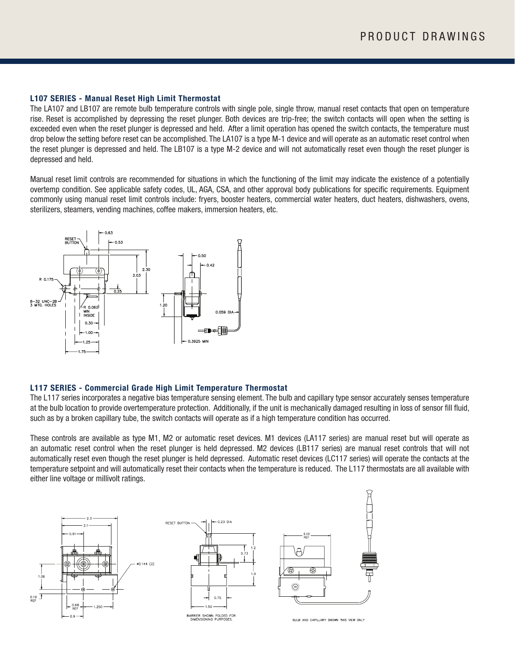#### **L107 SERIES - Manual Reset High Limit Thermostat**

The LA107 and LB107 are remote bulb temperature controls with single pole, single throw, manual reset contacts that open on temperature rise. Reset is accomplished by depressing the reset plunger. Both devices are trip-free; the switch contacts will open when the setting is exceeded even when the reset plunger is depressed and held. After a limit operation has opened the switch contacts, the temperature must drop below the setting before reset can be accomplished. The LA107 is a type M-1 device and will operate as an automatic reset control when the reset plunger is depressed and held. The LB107 is a type M-2 device and will not automatically reset even though the reset plunger is depressed and held.

Manual reset limit controls are recommended for situations in which the functioning of the limit may indicate the existence of a potentially overtemp condition. See applicable safety codes, UL, AGA, CSA, and other approval body publications for specific requirements. Equipment commonly using manual reset limit controls include: fryers, booster heaters, commercial water heaters, duct heaters, dishwashers, ovens, sterilizers, steamers, vending machines, coffee makers, immersion heaters, etc.



#### **L117 SERIES - Commercial Grade High Limit Temperature Thermostat**

The L117 series incorporates a negative bias temperature sensing element. The bulb and capillary type sensor accurately senses temperature at the bulb location to provide overtemperature protection. Additionally, if the unit is mechanically damaged resulting in loss of sensor fill fluid, such as by a broken capillary tube, the switch contacts will operate as if a high temperature condition has occurred.

These controls are available as type M1, M2 or automatic reset devices. M1 devices (LA117 series) are manual reset but will operate as an automatic reset control when the reset plunger is held depressed. M2 devices (LB117 series) are manual reset controls that will not automatically reset even though the reset plunger is held depressed. Automatic reset devices (LC117 series) will operate the contacts at the temperature setpoint and will automatically reset their contacts when the temperature is reduced. The L117 thermostats are all available with either line voltage or millivolt ratings.